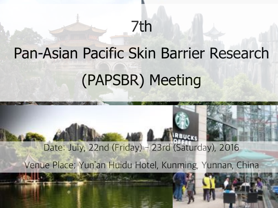## 7th

# Pan-Asian Pacific Skin Barrier Research (PAPSBR) Meeting

Date: July, 22nd (Friday) - 23rd (Saturday), 2016 Venue Place; Yun'an Huidu Hotel, Kunming, Yunnan, China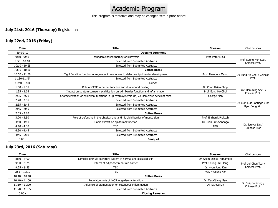### Academic Program

This program is tentative and may be changed with a prior notice.

#### **July 21st, 2016 (Thursday)** Registration

#### **July 22nd, 2016 (Friday)**

| <b>Time</b>     | <b>Title</b>                                                                                 | <b>Speaker</b>                                | Chairpersons                           |  |
|-----------------|----------------------------------------------------------------------------------------------|-----------------------------------------------|----------------------------------------|--|
| 8:40-9:10       | <b>Opening ceremony</b>                                                                      |                                               |                                        |  |
| $9:10 - 9:50$   | Pathogenic based therapy of ichthyosis                                                       | Prof. Peter Elias                             |                                        |  |
| $9:50 - 10:10$  | Selected from Submitted Abstracts                                                            |                                               | Prof. Seung Hun Lee /<br>Chinese Prof. |  |
| $10:10 - 10:25$ | Selected from Submitted Abstracts                                                            |                                               |                                        |  |
| $10:30 - 10:50$ | <b>Coffee Break</b>                                                                          |                                               |                                        |  |
| $10:50 - 11:30$ | Tight Junction function upregulates in responses to defective lipid barrier development      | Prof. Theodora Mauro                          | Dr. Eung Ho Choi / Chinese<br>Prof.    |  |
| 11:30-11:45     | Selected from Submitted Abstracts                                                            |                                               |                                        |  |
| $11:40 - 1:00$  | Lunch                                                                                        |                                               |                                        |  |
| $1:00 - 1:35$   | Role of CFTR in barrier function and skin wound healing                                      | Dr. Chan Hsiao Chng                           | Prof. Hamming Sheu /<br>Chinese Prof.  |  |
| $1:35 - 2:05$   | Impact on stratum corneum acidification on skin barrier function and inflammation            | Prof. Eung Ho Choi                            |                                        |  |
| $2:05 - 2:20$   | Characterization of epidermal functions in 3ß-hydroxysteroid-8δ, 7δ-isomerase deficient mice | George Man                                    |                                        |  |
| $2:20 - 2:35$   | Selected from Submitted Abstracts                                                            | Dr. Juan Luis Santiago / Dr.<br>Hyun Jung Kim |                                        |  |
| $2:35 - 2:45$   | Selected from Submitted Abstracts                                                            |                                               |                                        |  |
| $2:45 - 2:55$   | Selected from Submitted Abstracts                                                            |                                               |                                        |  |
| $2:55 - 3:20$   | <b>Coffee Break</b>                                                                          |                                               |                                        |  |
| $3:20 - 3:50$   | Role of defensins in the physical and antimicrobial barrier of mouse skin                    | Prof. Ehrhardt Proksch                        | Dr. Tzu-Kai Lin /<br>Chinese Prof.     |  |
| $3:50 - 4:10$   | Garlic extract on epidermal function                                                         | Dr. Juan Luis Santiago                        |                                        |  |
| $4:10 - 4:30$   | <b>TBD</b>                                                                                   | <b>TBD</b>                                    |                                        |  |
| $4:30 - 4:45$   | Selected from Submitted Abstracts                                                            |                                               |                                        |  |
| $4:45 - 5:00$   | Selected from Submitted Abstracts                                                            |                                               |                                        |  |
| $6:00 -$        | <b>Banquet</b>                                                                               |                                               |                                        |  |

#### **July 23rd, 2016 (Saturday)**

| <b>Time</b>     | <b>Title</b>                                                  | <b>Speaker</b>            | Chairpersons                           |
|-----------------|---------------------------------------------------------------|---------------------------|----------------------------------------|
| $8:30 - 9:00$   | Lamellar granule secretory system in normal and diseased skin | Dr. Akemi Ishida Yamamoto |                                        |
| $9:00 - 9:25$   | Effects of adiponectin on skin barrier                        | Prof. Seung Phil Hong     | Prof. Jui-Chen Tsai /<br>Chinese Prof. |
| $9:25 - 9:55$   | <b>TBD</b>                                                    | Dr. Hyun Jung Kim         |                                        |
| $9:55 - 10:10$  | <b>TBD</b>                                                    | Prof. Hyesung Kim         |                                        |
| $10:10 - 10:40$ | <b>Coffee Break</b>                                           |                           |                                        |
| $10:40 - 11:00$ | Regulatory role of iNOS in epidermal function                 | Dr. Mao-Qiang Man         | Dr. Sekyoo Jeong /<br>Chinese Prof.    |
| $11:10 - 11:20$ | Influence of pigmentation on cutaneous inflammation           | Dr. Tzu-Kai Lin           |                                        |
| $11:20 - 11:35$ | Selected from Submitted Abstracts                             |                           |                                        |
| $6:00 -$        | <b>Closing Remarks</b>                                        |                           |                                        |